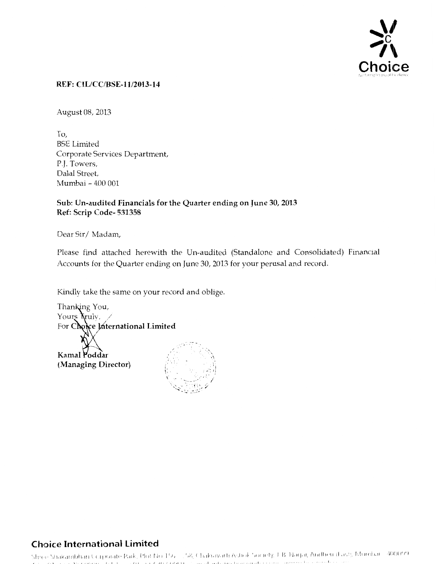

#### REF: CIL/CC/BSE-11/2013-14

August 08, 2013

To, BSE Limited Corporate Services Department, P,J. Towers, Dalal Street Mumbai- 400 001

#### Sub: Un-audited Financials for the Quarter ending on June 30, 2013 Ref: Scrip Code- 531358

Dear Sir/Madam,

Please find attached herewith the Un-audited (Standalone and Consolidated) Financial Accounts for the Quarter ending on June 30, 2013 for your perusal and record.

Kindly take the same on your record and oblige.



## **Choice International Limited**

Shice Shakambhari Corporate Park, Plot No. 156 - .58, Chakravarti Ashok Society, J. B. Nagar, Andherr (Fast), Mumbar - 400099.<br>The China of Museum of Little - 201 in Canadathi, Jimari advancha conduction - emperator conduc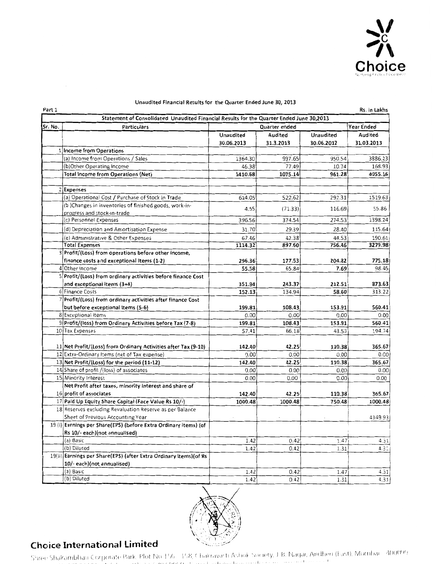

| Part 1  |                                                                                          |            |           |            | Rs. in Lakhs |  |
|---------|------------------------------------------------------------------------------------------|------------|-----------|------------|--------------|--|
|         | Statement of Consolidated Unaudited Financial Results for the Quarter Ended June 30,2013 |            |           |            |              |  |
| Sr. No. | Particulars<br>Quarter ended                                                             |            |           |            |              |  |
|         |                                                                                          | Unaudited  | Audited   | Unaudited  | Audited      |  |
|         |                                                                                          | 30.06.2013 | 31.3.2013 | 30.06.2012 | 31.03.2013   |  |
|         | 1 Income from Operations                                                                 |            |           |            |              |  |
|         | (a) Income from Operations / Sales                                                       | 1364.30    | 997.65    | 950.54     | 3886.23      |  |
|         | (b)Other Operating Income                                                                | 46.38      | 77.49     | 10.74      | 168.93       |  |
|         | <b>Total Income from Operations (Net)</b>                                                | 1410.68    | 1075.14   | 961.28     | 4055.16      |  |
|         | 2 Expenses                                                                               |            |           |            |              |  |
|         | (a) Operational Cost / Purchase of Stock in Trade                                        | 614.05     | 522.62    | 292.31     | 1519.63      |  |
|         | (b)Changes in inventories of finished goods, work-in-                                    |            |           |            |              |  |
|         | progress and stock-in-trade                                                              | 4.55       | (71.33)   | 116.69     | 55.86        |  |
|         | (c) Personnel Expenses                                                                   | 396.56     | 374.54    | 274.53     | 1398.24      |  |
|         | (d) Depreciation and Amortisation Expense                                                | 31.70      | 29.39     | 28.40      | 115.64       |  |
|         | (e) Administrative & Other Expenses                                                      | 67.46      | 42.38     | 44.53      | 190.61       |  |
|         | <b>Total Expenses</b>                                                                    | 1114.32    | 897.60    | 756.46     | 3279.98      |  |
|         | Profit/(Loss) from operations before other income,                                       |            |           |            |              |  |
|         | finance costs and exceptional Items (1-2)                                                | 296.36     | 177.53    | 204.82     | 775.18       |  |
|         | 4 Other Income                                                                           | 55.58      | 65.84     | 7.69       | 98.45        |  |
|         | 5 Profit/(Loss) from ordinary activities before finance Cost                             |            |           |            |              |  |
|         | and exceptional items (3+4)                                                              | 351.94     | 243.37    | 212.51     | 873.63       |  |
|         | 6 Finance Costs                                                                          | 152.13     | 134.94    | 58.60      | 313.22       |  |
|         | 7 Profit/(Loss) from ordinary activities after finance Cost                              |            |           |            |              |  |
|         | but before exceptional Items (5-6)                                                       | 199.81     | 108.43    | 153.91     | 560.41       |  |
|         | 8 Exceptional Items                                                                      | 0.00       | 0.00      | 0.00       | 0.00         |  |
|         | 9 Profit/(loss) from Ordinary Activities before Tax (7-8)                                | 199.81     | 108.43    | 153.91     | 560.41       |  |
|         | 10 Tax Expenses                                                                          | 57.41      | 66.18     | 43.53      | 194.74       |  |
|         | 11 Net Profit/(Loss) from Ordinary Activities after Tax (9-10)                           | 142.40     | 42.25     | 110.38     | 365.67       |  |
|         | 12 Extra-Ordinary Items (net of Tax expense)                                             | 0.00       | 0.00      | 0.00       | 0.00         |  |
|         | 13 Net Profit/(Loss) for the period (11-12)                                              | 142.40     | 42.25     | 110.38     | 365.67       |  |
|         | 14 Share of profit /(loss) of associates                                                 | 0.00       | 0.00      | 0.00       | 0.00         |  |
|         | 15 Minority Interest                                                                     | 0.00       | 0.00      | 0.00       | 0.00         |  |
|         | Net Profit after taxes, minority interest and share of                                   |            |           |            |              |  |
|         | 16 profit of associates                                                                  | 142.40     | 42.25     | 110.38     | 365.67       |  |
|         | 17 Paid Up Equity Share Capital (Face Value Rs 10/-)                                     | 1000.48    | 1000.48   | 750.48     | 1000.48      |  |
|         | 18 Reserves excluding Revaluation Reserve as per Balance                                 |            |           |            |              |  |
|         | Sheet of Previous Accounting Year                                                        |            |           |            | 4349.93      |  |
|         | 19 (i) Earnings per Share(EPS) (before Extra Ordinary items) (of                         |            |           |            |              |  |
|         | Rs 10/- each)(not annualised)                                                            |            |           |            |              |  |
|         | (a) Basic                                                                                | 1.42       | 0.42      | 1.47       | 4.31         |  |
|         | (b) Diluted                                                                              | 1.42       | 0.42      | 1.31       | 4.31         |  |
|         | 19(ii) Earnings per Share(EPS) (after Extra Ordinary items) (of Rs                       |            |           |            |              |  |
|         | 10/- each)(not annualised)                                                               |            |           |            |              |  |
|         | (a) Basic                                                                                | 1.42       | 0.42      | 1.47       | 4.31         |  |
|         | (b) Diluted                                                                              | 1.42       | 0.42      | 1.31       | 4.31         |  |

#### Unaudited Financial Results for the Quarter Ended June 30, 2013



Choice International Limited<br>Shree Shakambhari Corporate Park, Plot No 156 - 158, Chakravacti Ashok Society, J. B. Nagai, Andheri (East), Mumbai - 400099 والمتماد والمتحدث والمتحدث والمتحدث والمتحدث **The Contractor Control**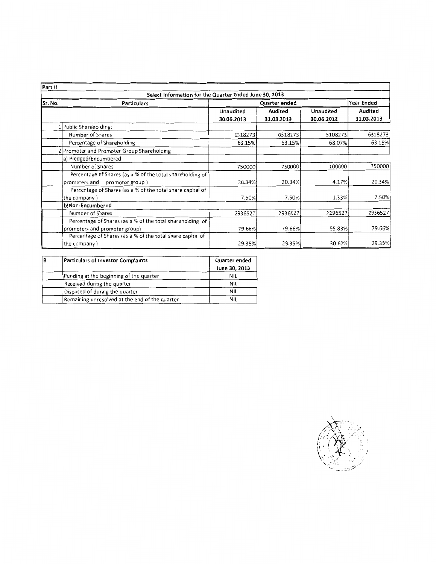| Part II |                                                            |            |               |            |            |  |
|---------|------------------------------------------------------------|------------|---------------|------------|------------|--|
|         | Select Information for the Quarter Ended June 30, 2013     |            |               |            |            |  |
| Sr. No. | <b>Particulars</b>                                         |            | Quarter ended |            | Year Ended |  |
|         |                                                            | Unaudited  | Audited       | Unaudited  | Audited    |  |
|         |                                                            | 30.06.2013 | 31.03.2013    | 30.06.2012 | 31.03.2013 |  |
|         | 1 Public Shareholding:                                     |            |               |            |            |  |
|         | Number of Shares                                           | 6318273    | 6318273       | 5108273    | 6318273    |  |
|         | Percentage of Shareholding                                 | 63.15%     | 63.15%        | 68.07%     | 63.15%     |  |
|         | Promoter and Promoter Group Shareholding                   |            |               |            |            |  |
|         | a) Pledged/Encumbered                                      |            |               |            |            |  |
|         | Number of Shares                                           | 750000     | 750000        | 100000     | 750000     |  |
|         | Percentage of Shares (as a % of the total shareholding of  |            |               |            |            |  |
|         | promoters and<br>promoter group)                           | 20.34%     | 20.34%        | 4.17%      | 20.34%     |  |
|         | Percentage of Shares (as a % of the total share capital of |            |               |            |            |  |
|         | the company)                                               | 7.50%      | 7.50%         | 1.33%      | 7.50%      |  |
|         | b)Non-Encumbered                                           |            |               |            |            |  |
|         | Number of Shares                                           | 2936527    | 2936527       | 2296527    | 2936527    |  |
|         | Percentage of Shares (as a % of the total shareholding of  |            |               |            |            |  |
|         | promoters and promoter group)                              | 79.66%     | 79.66%        | 95.83%     | 79.66%     |  |
|         | Percentage of Shares (as a % of the total share capital of |            |               |            |            |  |
|         | the company)                                               | 29.35%     | 29.35%        | 30.60%     | 29.35%     |  |

| ΙB | Particulars of Investor Complaints             | Quarter ended |  |
|----|------------------------------------------------|---------------|--|
|    |                                                | June 30, 2013 |  |
|    | Pending at the beginning of the quarter        | <b>NIL</b>    |  |
|    | Received during the quarter                    | <b>NIL</b>    |  |
|    | Disposed of during the quarter                 | <b>NIL</b>    |  |
|    | Remaining unresolved at the end of the quarter | NIL.          |  |

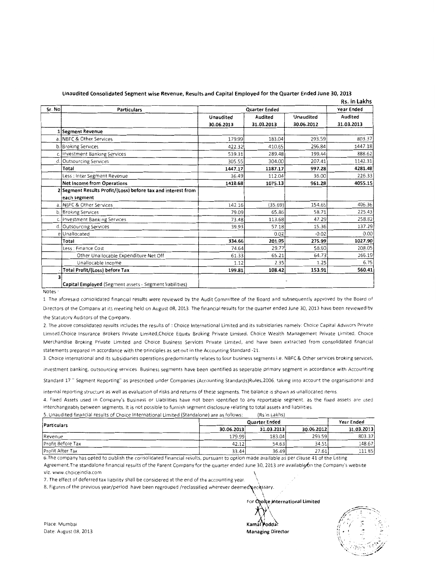|        |                                                              |               |            |            | Rs. in Lakhs |
|--------|--------------------------------------------------------------|---------------|------------|------------|--------------|
| Sr. No | <b>Particulars</b>                                           | Quarter Ended | Year Ended |            |              |
|        |                                                              | Unaudited     | Audited    | Unaudited  | Audited      |
|        |                                                              | 30.06.2013    | 31.03.2013 | 30.06.2012 | 31.03.2013   |
|        | l Segment Revenue                                            |               |            |            |              |
|        | a. INBFC & Other Services                                    | 179.99        | 183.04     | 293.59     | 803.37       |
|        | b. Broking Services                                          | 422.32        | 410.65     | 296.84     | 1447.18      |
|        | c. Investment Banking Services                               | 539.31        | 289.48     | 199.44     | 888.62       |
| đ      | <b>Outsourcing Services</b>                                  | 305.55        | 304.00     | 207.41     | 1142.31      |
|        | Total                                                        | 1447.17       | 1187.17    | 997.28     | 4281.48      |
|        | Less : Inter Segment Revenue                                 | 36.49         | 112.04     | 36.00      | 226.33       |
|        | Net Income from Operations                                   | 1410.68       | 1075.13    | 961.28     | 4055.15      |
|        | 2 Segment Results Profit/(Loss) before tax and interest from |               |            |            |              |
|        | each segment                                                 |               |            |            |              |
|        | a. NBFC & Other Services                                     | 142.16        | (35.69)    | 154.65     | 406.36       |
|        | b. Broking Services                                          | 79.09         | 65.86      | 58.71      | 225.43       |
|        | investment Banking Services                                  | 73.48         | 113.68     | 47.29      | 258.82       |
| d.     | <b>Outsourcing Services</b>                                  | 39.93         | 57.18      | 15.36      | 137.29       |
| e      | Unallocated                                                  |               | 0.02       | $-0.02$    | 0.00         |
|        | Total                                                        | 334.66        | 201.05     | 275.99     | 1027.90      |
|        | Less : Finance Cost                                          | 74.64         | 29.77      | 58.60      | 208.05       |
|        | Other Unallocable Expenditure Net Off                        | 61.33         | 65.21      | 64.73      | 266.19       |
|        | Unallocable Income                                           | 1.12          | 2.35       | 1.25       | 6.75         |
|        | Total Profit/(Loss) before Tax                               | 199.81        | 108.42     | 153.91     | 560.41       |
|        |                                                              |               | ٠.         |            |              |
|        | Capital Employed (Segment assets - Segment liabilities)      |               |            |            |              |

**Unaudited Consolidated Segment wise Revenue, Results and Capital Employed for the Quarter Ended June 30, 2013** 

Notes·

1 The aforesaid consolidated financial results were reviewed by the Audit Committee of the Board and subsequently approved by the Board of Directors of the Company at its meeting held on August 08, 2013. The financial results for the quarter ended June 30, 2013 have been reviewed by the Statutory Auditors of the Company.

2. The above consolidated results includes the results of : Choice International Limited and its subsidiaries namely: Choice Capital Advisors Private Limited,Choice Insurance Brokers Private Limited,Choice Equity Broking Private Limited, Choice Wealth Management Private Limited, Choice Merchandise Braking Private Limited and Choice Business Services Private Lim1ted, and have been extracted from consolidated financial statements prepared in accordance with the principles as set out in the Accounting Standard -21.

3. Choice international and its subsidiaries operations predominantly relates to four business segments i.e. NBFC & Other services broking services, investment banking, outsourcing services. Business segments have been identified as seperable primary segment in accordance with Accounting

Standard 17" Segment Reporting" as prescrtbed under Companies (Accounting Standards)Rules,2006. taktng into account the organisational and

internal reporting structure as well as evaluation of risks and returns of these segments. The balance is shown as unallocated items.

4. Fixed Assets used in Company's Business or Liabilities have not been identified to any reportable segment, as the fixed assets are used interchangeably between segments. It is not possible to furnish segment disclosure relating to total assets and liabilities

| $\ldots$ and all all all all all all $\ldots$ and interest in the individual matrice and all all all all $\alpha$ in the data in a second and $\alpha$ in all $\alpha$ |               |               |            |            |  |
|------------------------------------------------------------------------------------------------------------------------------------------------------------------------|---------------|---------------|------------|------------|--|
| 5. Unaudited financial results of Choice International Limited (Standalone) are as follows:                                                                            |               | (Rs in Lakhs) |            |            |  |
| Particulars                                                                                                                                                            | Quarter Ended |               |            |            |  |
|                                                                                                                                                                        | 30.06.2013    | 31.03.2013    | 30.06.2012 | 31.03.2013 |  |
| Revenue                                                                                                                                                                | 179.991       | 183.04        | 293.59     | 803.37     |  |
| Profit Before Tax                                                                                                                                                      | 42.12         | 54.63         | 34.51      | 148.67     |  |
| <b>Profit After Tax</b>                                                                                                                                                | 33.44         | 36.49         | 27.61      | 111.85     |  |

6. The company has opted to publish the consolidated financial results, pursuant to option made available as per clause 41 of the Listing Agreement. The standalone financial results of the Parent Company for the quarter ended June 30, 2013 are available on the Company's website

viz. www.choiceindia.com

7. The effect of deferred tax liability shall be considered at the end of the accounting year.

8. Figures of the previous year/period have been regrouped /reclassified wherever deemed pecassary.

For Choice International Limited  $\lambda$   $\lambda$ *k* \ **Kamal ;oddar Managing Director** 



Place Mumbai Date: August 08, 2013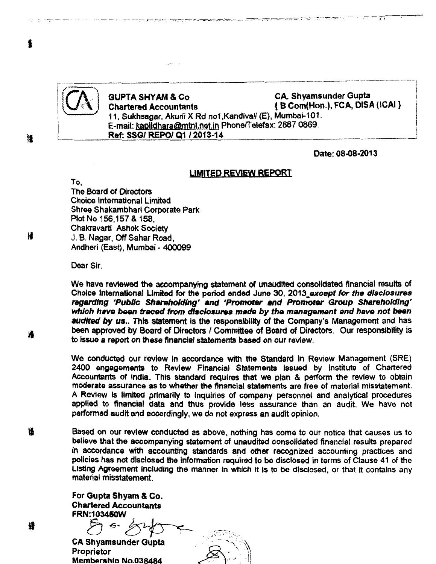

### GUPTA SHYAM & Co CA. Shyamsunder Gupta<br>
Chartered Accountants (BCom(Hon.), FCA, DISA *w·* . Chartered Accountants { B Com(Hon.), FCA, DISA (ICAI} 11, Sukhsagar, Akurli X Rd no1 ,Kandivali (E), Mumbai-101. E-mail: kapildhara@mtnl.net.in Phone/Telefax: 2887 0869. Ref: SSG/ REPO/ Q1 /2013~14

Date: 08.08~2013

#### LIMITED REVIEW REPORT

the company of the company of the company of the company of the company of the company of the company of the company of the company of the company of the company of the company of the company of the company of the company

To, The Board of Directors Choice International Limited Shree Shakambhari Corporate Park Plot No 156,157 & 158, Chakravarti Ashok Society J. 8. Nagar, Off Sahar Road, Andheri (East), Mumbai- 400099

Dear Sir.

We have reviewed the accompanying statement of unaudited consolidated financial results of Choice International Limited for the period ended June 30, 2013 except for the disclosures regarding 'Public Shareholding' and 'Promoter and Promoter Group Shareholding' which have been traced from disclosures made by the management and have not been audited by us.. This statement is the responsibility of the Company's Management and has been approved by Board of Directors / Committee of Board of Directors. Our responsibility is to issue a report on these financial statements based on our review.

We conducted our review ln accordance with the Standard in Review Management (SRE) 2400 engagements to Review Financial Statements issued by Institute of Chartered Accountants of India. This standard requires that we plan & perform the review to obtain moderate assurance as to whether the financial statements are free of material misstatement. A Review Is limited primarily to Inquiries of company personnel and analytical procedures applied to financial data and thus provide less assurance than an audit We have not performed audit and accordingly, we do not express an audit opinion.

氇 Based on our review conducted as above, nothing has come to our notice that causes us to believe that the accompanying statement of unaudited consolidated financial results prepared in accordance with accounting standards and other recognized accounting practices and policies has not disclosed the Information required to be disclosed in terms of Clause 41 of the Listing Agreement including the manner in which it is to be disclosed, or that it contains any material misstatement.

> For Gupta Shyam & Co. Chartered Accountants FRN:1 034SOW

FRN:103450W<br>  $\begin{picture}(10,10) \put(0,0){\line(1,0){15}} \put(10,0){\line(1,0){15}} \put(10,0){\line(1,0){15}} \put(10,0){\line(1,0){15}} \put(10,0){\line(1,0){15}} \put(10,0){\line(1,0){15}} \put(10,0){\line(1,0){15}} \put(10,0){\line(1,0){15}} \put(10,0){\line(1,0){15}} \put(10,0){\line(1,0){15}} \put(10,0){\line(1,0){15$ 

CA Shyamsunder Gupta<br>Proprietor Membership No.038484

槠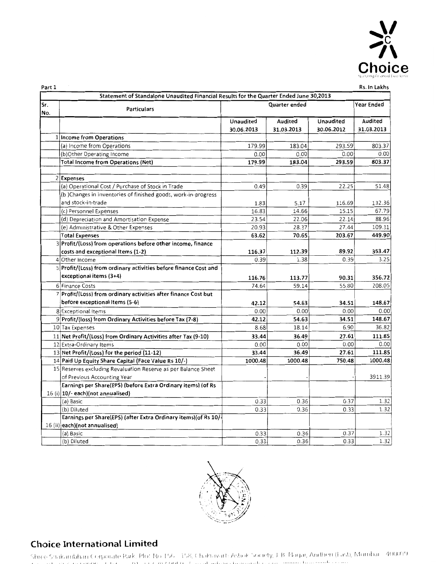

| - |  |  |
|---|--|--|
|   |  |  |

|  | Rs. In Lakhs |
|--|--------------|
|  |              |

|            | Statement of Standalone Unaudited Financial Results for the Quarter Ended June 30,2013 |                  |            |                  |            |  |
|------------|----------------------------------------------------------------------------------------|------------------|------------|------------------|------------|--|
| Sr.<br>No. | Year Ended<br>Quarter ended<br><b>Particulars</b>                                      |                  |            |                  |            |  |
|            |                                                                                        | <b>Unaudited</b> | Audited    | <b>Unaudited</b> | Audited    |  |
|            |                                                                                        | 30.06.2013       | 31.03.2013 | 30.06.2012       | 31.03.2013 |  |
|            | 1 Income from Operations                                                               |                  |            |                  |            |  |
|            | (a) Income from Operations                                                             | 179.99           | 183.04     | 293.59           | 803.37     |  |
|            | (b)Other Operating Income                                                              | 0.00             | 0.00       | 0.00             | 0.00       |  |
|            | <b>Total Income from Operations (Net)</b>                                              | 179.99           | 183.04     | 293.59           | 803.37     |  |
|            |                                                                                        |                  |            |                  |            |  |
|            | 2 Expenses                                                                             |                  |            |                  |            |  |
|            | (a) Operational Cost / Purchase of Stock in Trade                                      | 0.49             | 0.39       | 22.25            | 51.48      |  |
|            | (b) Changes in inventories of finished goods, work-in-progress                         |                  |            |                  |            |  |
|            | and stock-in-trade                                                                     | 1.83             | 5.17       | 116.69           | 132.36     |  |
|            | (c) Personnel Expenses                                                                 | 16.83            | 14.66      | 15.15            | 67.79      |  |
|            | (d) Depreciation and Amortisation Expense                                              | 23.54            | 22.06      | 22.14            | 88.96      |  |
|            | (e) Administrative & Other Expenses                                                    | 20.93            | 28.37      | 27.44            | 109.31     |  |
|            | <b>Total Expenses</b>                                                                  | 63.62            | 70.65      | 203.67           | 449.90     |  |
|            | 3 Profit/(Loss) from operations before other income, finance                           |                  |            |                  |            |  |
|            | costs and exceptional Items (1-2)                                                      | 116.37           | 112.39     | 89.92            | 353.47     |  |
|            | 4 Other Income                                                                         | 0.39             | 1.38       | 0.39             | 3.25       |  |
|            | 5 Profit/(Loss) from ordinary activities before finance Cost and                       |                  |            |                  |            |  |
|            | exceptional items (3+4)                                                                | 116.76           | 113.77     | 90.31            | 356.72     |  |
|            | 6 Finance Costs                                                                        | 74.64            | 59.14      | 55.80            | 208.05     |  |
|            | 7 Profit/(Loss) from ordinary activities after finance Cost but                        |                  |            |                  |            |  |
|            | before exceptional Items (5-6)                                                         | 42.12            | 54.63      | 34.51            | 148.67     |  |
|            | 8 Exceptional Items                                                                    | 0.00             | 0.00       | 0.00             | 0.00       |  |
|            | 9 Profit/(loss) from Ordinary Activities before Tax (7-8)                              | 42.12            | 54.63      | 34.51            | 148.67     |  |
|            | 10 Tax Expenses                                                                        | 8.68             | 18.14      | 6.90             | 36.82      |  |
|            | 11 Net Profit/(Loss) from Ordinary Activities after Tax (9-10)                         | 33.44            | 36.49      | 27.61            | 111.85     |  |
|            | 12 Extra-Ordinary Items                                                                | 0.00             | 0.00       | 0.00             | 0.00       |  |
|            | 13 Net Profit/(Loss) for the period (11-12)                                            | 33.44            | 36.49      | 27.61            | 111.85     |  |
|            | 14 Paid Up Equity Share Capital (Face Value Rs 10/-)                                   | 1000.48          | 1000.48    | 750.48           | 1000.48    |  |
|            | 15 Reserves excluding Revaluation Reserve as per Balance Sheet                         |                  |            |                  |            |  |
|            | of Previous Accounting Year                                                            |                  |            |                  | 3911.39    |  |
|            | Earnings per Share(EPS) (before Extra Ordinary items) (of Rs                           |                  |            |                  |            |  |
|            | $16$ (i) $ 10$ /- each)(not annualised)                                                |                  |            |                  |            |  |
|            | (a) Basic                                                                              | 0.33             | 0.36       | 0.37             | 1.32       |  |
|            | (b) Diluted                                                                            | 0.33             | 0.36       | 0.33             | 1.32       |  |
|            | Earnings per Share(EPS) (after Extra Ordinary items) (of Rs 10/-                       |                  |            |                  |            |  |
|            | 16 (ii) each) (not annualised)                                                         |                  |            |                  |            |  |
|            | (a) Basic                                                                              | 0.33             | 0.36       | 0.37             | 1.32       |  |
|            | (b) Diluted                                                                            | 0.33             | 0.36       | 0.33             | 1.32       |  |



# Choice International limited

Shiee Shakambhari Corporate Park, Plot No. 156 - 158, Chakravarti Ashok Society, J. B. Nagar, Andhen (East), Mumbai - 400099.<br>The sub-sub-corporate teleform (Night C202 000 0), James advertisements is one promine beneamd c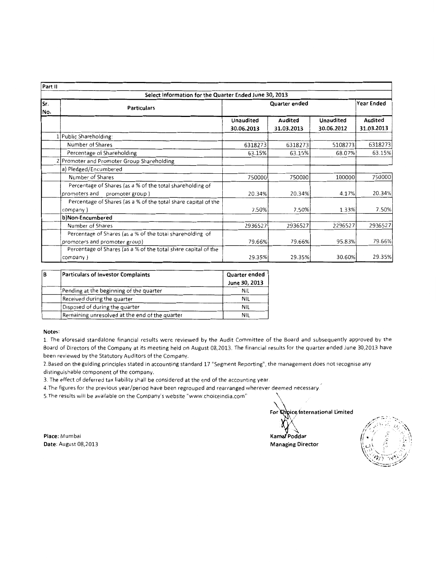| Part II     |                                                                                               |                         |                       |                                |                              |  |  |  |
|-------------|-----------------------------------------------------------------------------------------------|-------------------------|-----------------------|--------------------------------|------------------------------|--|--|--|
|             | Select Information for the Quarter Ended June 30, 2013                                        |                         |                       |                                |                              |  |  |  |
| lSr.<br>No. | <b>Particulars</b>                                                                            | Quarter ended           |                       |                                | <b>Year Ended</b>            |  |  |  |
|             |                                                                                               | Unaudited<br>30.06.2013 | Audited<br>31.03.2013 | <b>Unaudited</b><br>30.06.2012 | <b>Audited</b><br>31.03.2013 |  |  |  |
|             | Public Shareholding:                                                                          |                         |                       |                                |                              |  |  |  |
|             | Number of Shares                                                                              | 6318273                 | 6318273               | 5108273                        | 6318273                      |  |  |  |
|             | Percentage of Shareholding                                                                    | 63.15%                  | 63.15%                | 68.07%                         | 63.15%                       |  |  |  |
|             | Promoter and Promoter Group Shareholding                                                      |                         |                       |                                |                              |  |  |  |
|             | a) Pledged/Encumbered                                                                         |                         |                       |                                |                              |  |  |  |
|             | Number of Shares                                                                              | 750000                  | 750000                | 100000                         | 750000                       |  |  |  |
|             | Percentage of Shares (as a % of the total shareholding of<br>promoters and<br>promoter group) | 20.34%                  | 20.34%                | 4.17%                          | 20.34%                       |  |  |  |
|             | Percentage of Shares (as a % of the total share capital of the<br>company)                    | 7.50%                   | 7.50%                 | 1.33%                          | 7.50%                        |  |  |  |
|             | b)Non-Encumbered                                                                              |                         |                       |                                |                              |  |  |  |
|             | Number of Shares                                                                              | 2936527                 | 2936527               | 2296527                        | 2936527                      |  |  |  |
|             | Percentage of Shares (as a % of the total shareholding of                                     |                         |                       |                                |                              |  |  |  |
|             | promoters and promoter group)                                                                 | 79.66%                  | 79.66%                | 95.83%                         | 79.66%                       |  |  |  |
|             | Percentage of Shares (as a % of the total share capital of the                                |                         |                       |                                |                              |  |  |  |
|             | company)                                                                                      | 29.35%                  | 29.35%                | 30.60%                         | 29.35%                       |  |  |  |

| B | Particulars of Investor Complaints             | Quarter ended |  |
|---|------------------------------------------------|---------------|--|
|   |                                                | June 30, 2013 |  |
|   | Pending at the beginning of the quarter        | NIL           |  |
|   | Received during the quarter                    | NIL           |  |
|   | Disposed of during the quarter                 | NIL           |  |
|   | Remaining unresolved at the end of the quarter | NIL           |  |

#### **Notes:**

1. The aforesaid standalone financial results were reviewed by the Audit Committee of the Board and subsequently approved by the Board of Directors of the Company at its meeting held on August 08,2013. The financial results for the quarter ended June 30,2013 have been reviewed by the Statutory Auditors of the Company.

2.Based on the guiding principles stated in accounting standard 17 "Segment Reporting", the management does not recognise any distinguishable component of the company.

3. The effect of deferred tax liability shall be considered at the end of the accounting year

4.The figures for the previous year/period have been regrouped and rearranged wherever deemed necessary.

5. The results will be available on the Company's website "www.choiceindia.com"

Place: Mumbai **Date:** August 08,2013 For Choice international Limited

Kamal Poddar **Managing Director** 

\ ' \